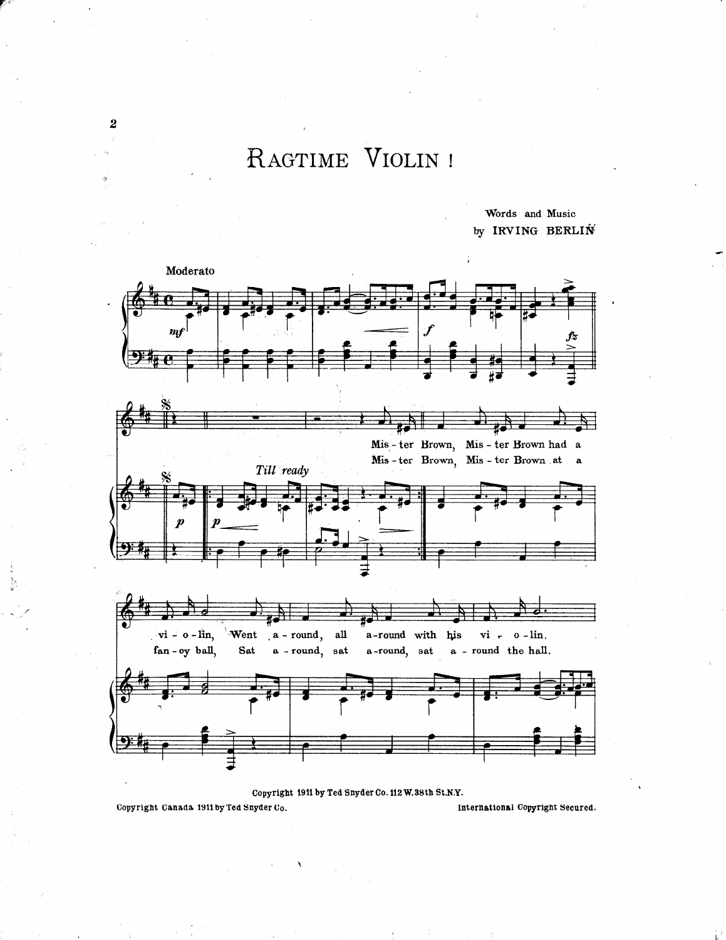## RAGTIME VIOLIN !

Words and Music by IRVING BERLIN



Copyright 1911 by Ted Snyder Co. 112 W.38th St.N.Y.

Copyright Canada 1911 by Ted Snyder Co.

International Copyright Secured.

2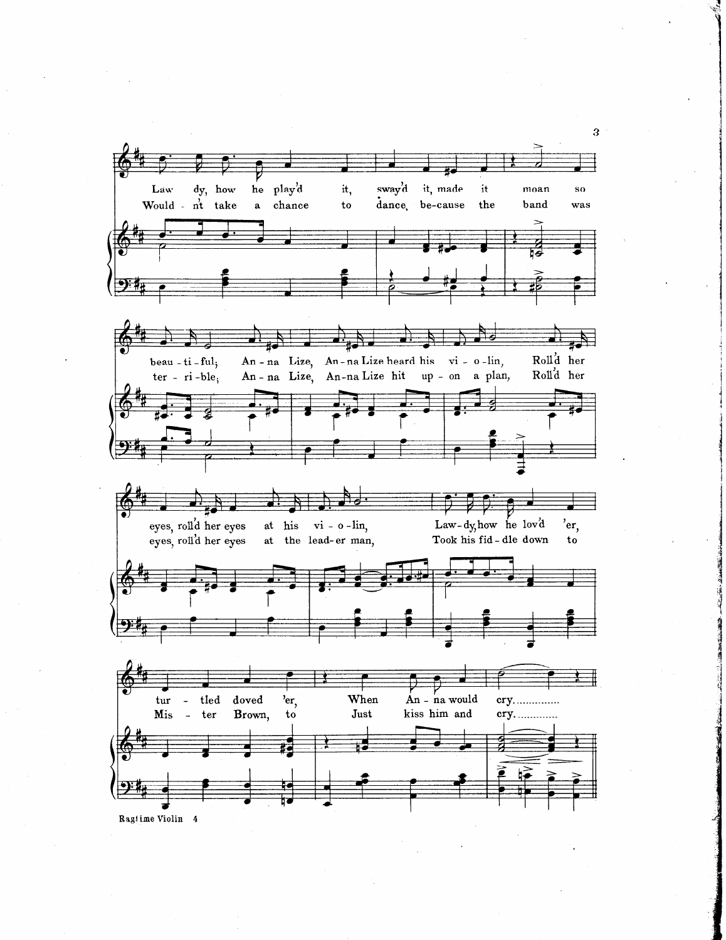

 $3 -$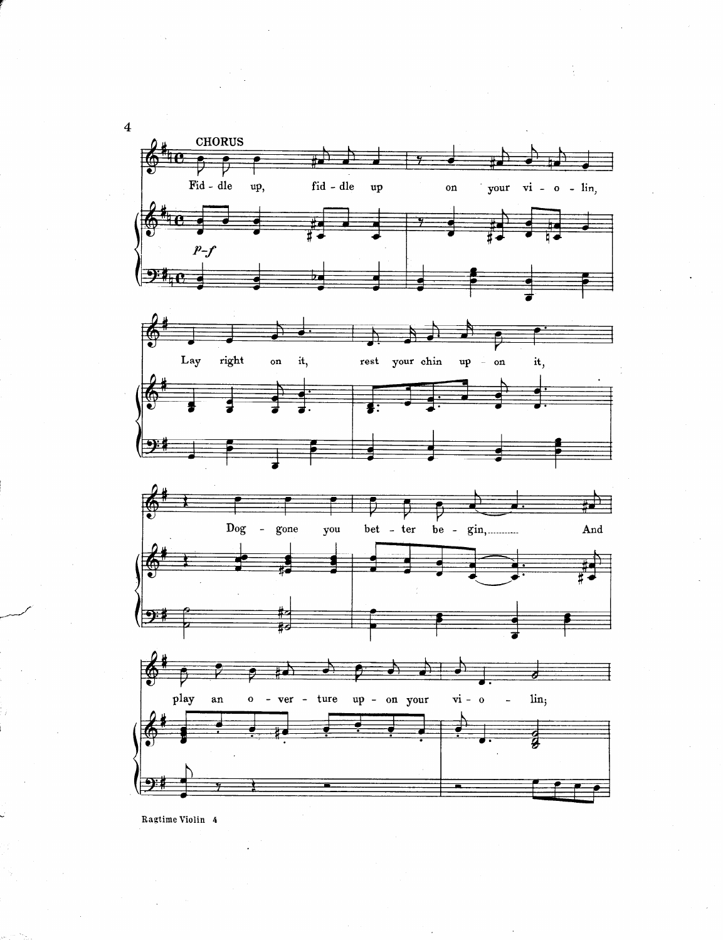

Ragtime Violin 4

 $\overline{\mathbf{4}}$